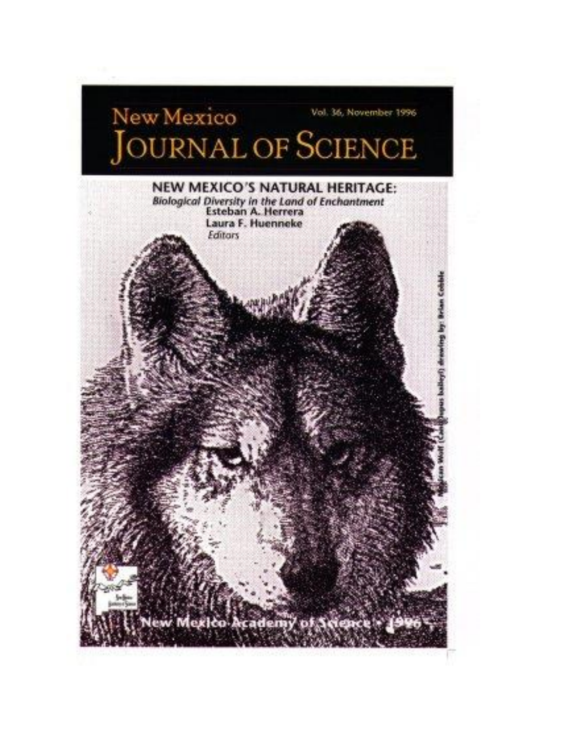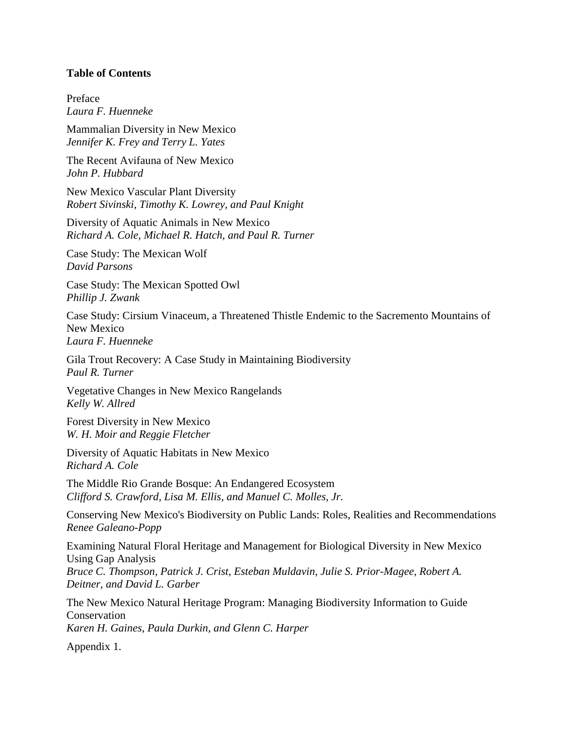## **Table of Contents**

Preface *Laura F. Huenneke*

Mammalian Diversity in New Mexico *Jennifer K. Frey and Terry L. Yates*

The Recent Avifauna of New Mexico *John P. Hubbard*

New Mexico Vascular Plant Diversity *Robert Sivinski, Timothy K. Lowrey, and Paul Knight*

Diversity of Aquatic Animals in New Mexico *Richard A. Cole, Michael R. Hatch, and Paul R. Turner*

Case Study: The Mexican Wolf *David Parsons*

Case Study: The Mexican Spotted Owl *Phillip J. Zwank*

Case Study: Cirsium Vinaceum, a Threatened Thistle Endemic to the Sacremento Mountains of New Mexico *Laura F. Huenneke*

Gila Trout Recovery: A Case Study in Maintaining Biodiversity *Paul R. Turner*

Vegetative Changes in New Mexico Rangelands *Kelly W. Allred*

Forest Diversity in New Mexico *W. H. Moir and Reggie Fletcher*

Diversity of Aquatic Habitats in New Mexico *Richard A. Cole*

The Middle Rio Grande Bosque: An Endangered Ecosystem *Clifford S. Crawford, Lisa M. Ellis, and Manuel C. Molles, Jr.*

Conserving New Mexico's Biodiversity on Public Lands: Roles, Realities and Recommendations *Renee Galeano-Popp*

Examining Natural Floral Heritage and Management for Biological Diversity in New Mexico Using Gap Analysis *Bruce C. Thompson, Patrick J. Crist, Esteban Muldavin, Julie S. Prior-Magee, Robert A. Deitner, and David L. Garber*

The New Mexico Natural Heritage Program: Managing Biodiversity Information to Guide Conservation *Karen H. Gaines, Paula Durkin, and Glenn C. Harper*

Appendix 1.